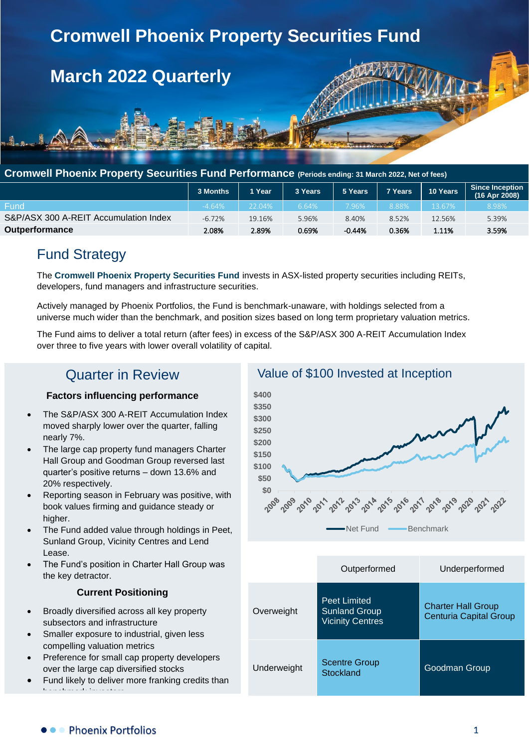

### **Cromwell Phoenix Property Securities Fund Performance (Periods ending: 31 March 2022, Net of fees)**

|                                       | 3 Months | 1 Year | 3 Years | 5 Years | 7 Years | 10 Years | Since Inception<br>(16 Apr 2008) |
|---------------------------------------|----------|--------|---------|---------|---------|----------|----------------------------------|
| Fund                                  | $-4.64%$ | 22.04% | 6.64%   | 7.96%   | 8.88%   | 13.67%   | 8.98%                            |
| S&P/ASX 300 A-REIT Accumulation Index | $-6.72%$ | 19.16% | 5.96%   | 8.40%   | 8.52%   | 12.56%   | 5.39%                            |
| <b>Outperformance</b>                 | 2.08%    | 2.89%  | 0.69%   | -0.44%  | 0.36%   | 1.11%    | 3.59%                            |

# Fund Strategy

The **Cromwell Phoenix Property Securities Fund** invests in ASX-listed property securities including REITs, developers, fund managers and infrastructure securities.

Actively managed by Phoenix Portfolios, the Fund is benchmark-unaware, with holdings selected from a universe much wider than the benchmark, and position sizes based on long term proprietary valuation metrics.

The Fund aims to deliver a total return (after fees) in excess of the S&P/ASX 300 A-REIT Accumulation Index over three to five years with lower overall volatility of capital.

# Quarter in Review

### **Factors influencing performance**

- The S&P/ASX 300 A-REIT Accumulation Index moved sharply lower over the quarter, falling nearly 7%.
- The large cap property fund managers Charter Hall Group and Goodman Group reversed last quarter's positive returns – down 13.6% and 20% respectively.
- Reporting season in February was positive, with book values firming and guidance steady or higher.
- The Fund added value through holdings in Peet, Sunland Group, Vicinity Centres and Lend Lease.
- The Fund's position in Charter Hall Group was the key detractor.

#### **Current Positioning**

- Broadly diversified across all key property subsectors and infrastructure
- Smaller exposure to industrial, given less compelling valuation metrics
- Preference for small cap property developers over the large cap diversified stocks
- Fund likely to deliver more franking credits than benchmark investors



|             | Outperformed                                                           | Underperformed                                             |
|-------------|------------------------------------------------------------------------|------------------------------------------------------------|
| Overweight  | <b>Peet Limited</b><br><b>Sunland Group</b><br><b>Vicinity Centres</b> | <b>Charter Hall Group</b><br><b>Centuria Capital Group</b> |
| Underweight | <b>Scentre Group</b><br>Stockland                                      | Goodman Group                                              |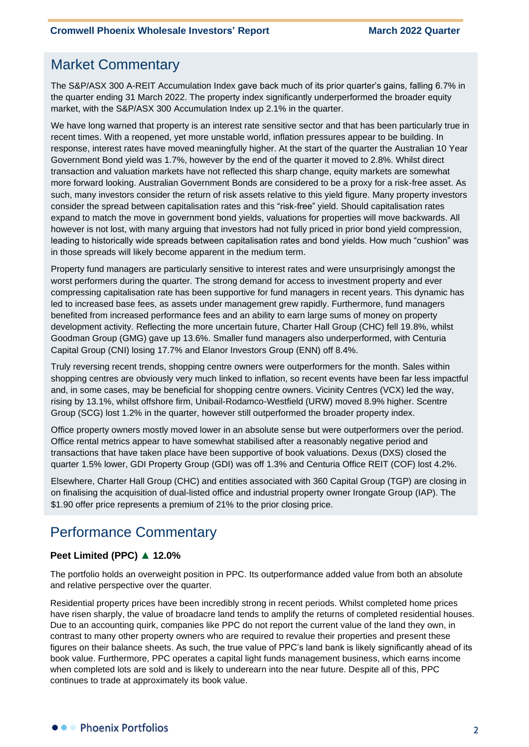## Market Commentary

The S&P/ASX 300 A-REIT Accumulation Index gave back much of its prior quarter's gains, falling 6.7% in the quarter ending 31 March 2022. The property index significantly underperformed the broader equity market, with the S&P/ASX 300 Accumulation Index up 2.1% in the quarter.

We have long warned that property is an interest rate sensitive sector and that has been particularly true in recent times. With a reopened, yet more unstable world, inflation pressures appear to be building. In response, interest rates have moved meaningfully higher. At the start of the quarter the Australian 10 Year Government Bond yield was 1.7%, however by the end of the quarter it moved to 2.8%. Whilst direct transaction and valuation markets have not reflected this sharp change, equity markets are somewhat more forward looking. Australian Government Bonds are considered to be a proxy for a risk-free asset. As such, many investors consider the return of risk assets relative to this yield figure. Many property investors consider the spread between capitalisation rates and this "risk-free" yield. Should capitalisation rates expand to match the move in government bond yields, valuations for properties will move backwards. All however is not lost, with many arguing that investors had not fully priced in prior bond yield compression, leading to historically wide spreads between capitalisation rates and bond yields. How much "cushion" was in those spreads will likely become apparent in the medium term.

Property fund managers are particularly sensitive to interest rates and were unsurprisingly amongst the worst performers during the quarter. The strong demand for access to investment property and ever compressing capitalisation rate has been supportive for fund managers in recent years. This dynamic has led to increased base fees, as assets under management grew rapidly. Furthermore, fund managers benefited from increased performance fees and an ability to earn large sums of money on property development activity. Reflecting the more uncertain future, Charter Hall Group (CHC) fell 19.8%, whilst Goodman Group (GMG) gave up 13.6%. Smaller fund managers also underperformed, with Centuria Capital Group (CNI) losing 17.7% and Elanor Investors Group (ENN) off 8.4%.

Truly reversing recent trends, shopping centre owners were outperformers for the month. Sales within shopping centres are obviously very much linked to inflation, so recent events have been far less impactful and, in some cases, may be beneficial for shopping centre owners. Vicinity Centres (VCX) led the way, rising by 13.1%, whilst offshore firm, Unibail-Rodamco-Westfield (URW) moved 8.9% higher. Scentre Group (SCG) lost 1.2% in the quarter, however still outperformed the broader property index.

Office property owners mostly moved lower in an absolute sense but were outperformers over the period. Office rental metrics appear to have somewhat stabilised after a reasonably negative period and transactions that have taken place have been supportive of book valuations. Dexus (DXS) closed the quarter 1.5% lower, GDI Property Group (GDI) was off 1.3% and Centuria Office REIT (COF) lost 4.2%.

Elsewhere, Charter Hall Group (CHC) and entities associated with 360 Capital Group (TGP) are closing in on finalising the acquisition of dual-listed office and industrial property owner Irongate Group (IAP). The \$1.90 offer price represents a premium of 21% to the prior closing price.

# Performance Commentary

#### **Peet Limited (PPC) ▲ 12.0%**

The portfolio holds an overweight position in PPC. Its outperformance added value from both an absolute and relative perspective over the quarter.

Residential property prices have been incredibly strong in recent periods. Whilst completed home prices have risen sharply, the value of broadacre land tends to amplify the returns of completed residential houses. Due to an accounting quirk, companies like PPC do not report the current value of the land they own, in contrast to many other property owners who are required to revalue their properties and present these figures on their balance sheets. As such, the true value of PPC's land bank is likely significantly ahead of its book value. Furthermore, PPC operates a capital light funds management business, which earns income when completed lots are sold and is likely to underearn into the near future. Despite all of this, PPC continues to trade at approximately its book value.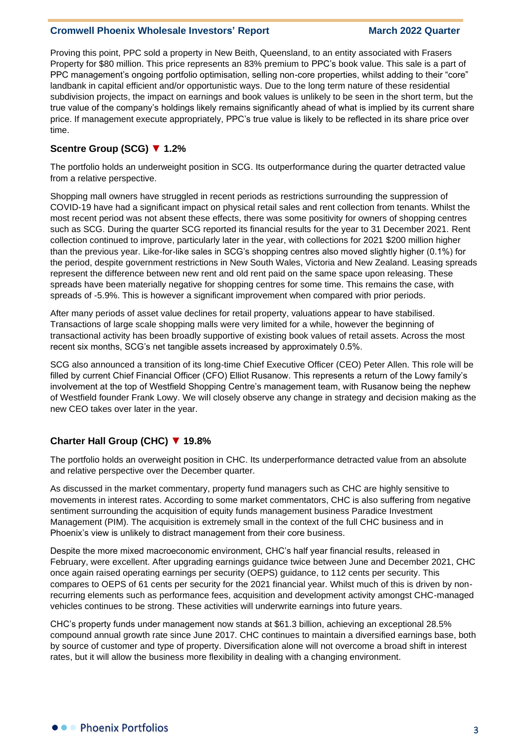Proving this point, PPC sold a property in New Beith, Queensland, to an entity associated with Frasers Property for \$80 million. This price represents an 83% premium to PPC's book value. This sale is a part of PPC management's ongoing portfolio optimisation, selling non-core properties, whilst adding to their "core" landbank in capital efficient and/or opportunistic ways. Due to the long term nature of these residential subdivision projects, the impact on earnings and book values is unlikely to be seen in the short term, but the true value of the company's holdings likely remains significantly ahead of what is implied by its current share price. If management execute appropriately, PPC's true value is likely to be reflected in its share price over time.

### **Scentre Group (SCG) ▼ 1.2%**

The portfolio holds an underweight position in SCG. Its outperformance during the quarter detracted value from a relative perspective.

Shopping mall owners have struggled in recent periods as restrictions surrounding the suppression of COVID-19 have had a significant impact on physical retail sales and rent collection from tenants. Whilst the most recent period was not absent these effects, there was some positivity for owners of shopping centres such as SCG. During the quarter SCG reported its financial results for the year to 31 December 2021. Rent collection continued to improve, particularly later in the year, with collections for 2021 \$200 million higher than the previous year. Like-for-like sales in SCG's shopping centres also moved slightly higher (0.1%) for the period, despite government restrictions in New South Wales, Victoria and New Zealand. Leasing spreads represent the difference between new rent and old rent paid on the same space upon releasing. These spreads have been materially negative for shopping centres for some time. This remains the case, with spreads of -5.9%. This is however a significant improvement when compared with prior periods.

After many periods of asset value declines for retail property, valuations appear to have stabilised. Transactions of large scale shopping malls were very limited for a while, however the beginning of transactional activity has been broadly supportive of existing book values of retail assets. Across the most recent six months, SCG's net tangible assets increased by approximately 0.5%.

SCG also announced a transition of its long-time Chief Executive Officer (CEO) Peter Allen. This role will be filled by current Chief Financial Officer (CFO) Elliot Rusanow. This represents a return of the Lowy family's involvement at the top of Westfield Shopping Centre's management team, with Rusanow being the nephew of Westfield founder Frank Lowy. We will closely observe any change in strategy and decision making as the new CEO takes over later in the year.

#### **Charter Hall Group (CHC) ▼ 19.8%**

The portfolio holds an overweight position in CHC. Its underperformance detracted value from an absolute and relative perspective over the December quarter.

As discussed in the market commentary, property fund managers such as CHC are highly sensitive to movements in interest rates. According to some market commentators, CHC is also suffering from negative sentiment surrounding the acquisition of equity funds management business Paradice Investment Management (PIM). The acquisition is extremely small in the context of the full CHC business and in Phoenix's view is unlikely to distract management from their core business.

Despite the more mixed macroeconomic environment, CHC's half year financial results, released in February, were excellent. After upgrading earnings guidance twice between June and December 2021, CHC once again raised operating earnings per security (OEPS) guidance, to 112 cents per security. This compares to OEPS of 61 cents per security for the 2021 financial year. Whilst much of this is driven by nonrecurring elements such as performance fees, acquisition and development activity amongst CHC-managed vehicles continues to be strong. These activities will underwrite earnings into future years.

CHC's property funds under management now stands at \$61.3 billion, achieving an exceptional 28.5% compound annual growth rate since June 2017. CHC continues to maintain a diversified earnings base, both by source of customer and type of property. Diversification alone will not overcome a broad shift in interest rates, but it will allow the business more flexibility in dealing with a changing environment.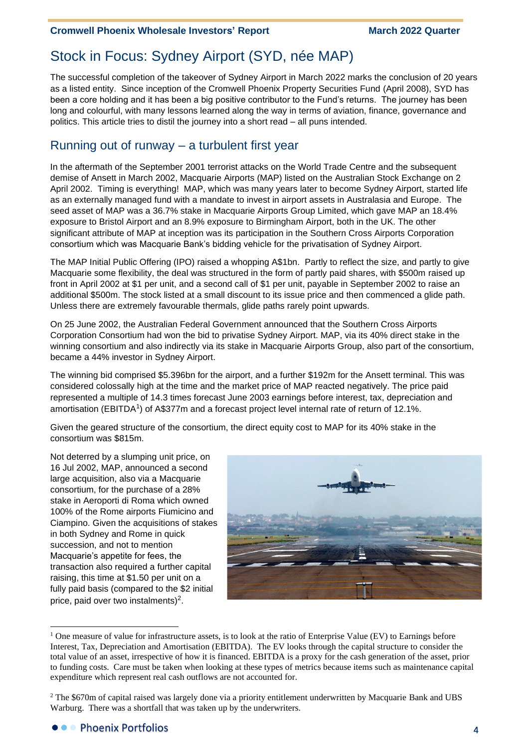# Stock in Focus: Sydney Airport (SYD, née MAP)

The successful completion of the takeover of Sydney Airport in March 2022 marks the conclusion of 20 years as a listed entity. Since inception of the Cromwell Phoenix Property Securities Fund (April 2008), SYD has been a core holding and it has been a big positive contributor to the Fund's returns. The journey has been long and colourful, with many lessons learned along the way in terms of aviation, finance, governance and politics. This article tries to distil the journey into a short read – all puns intended.

## Running out of runway – a turbulent first year

In the aftermath of the September 2001 terrorist attacks on the World Trade Centre and the subsequent demise of Ansett in March 2002, Macquarie Airports (MAP) listed on the Australian Stock Exchange on 2 April 2002. Timing is everything! MAP, which was many years later to become Sydney Airport, started life as an externally managed fund with a mandate to invest in airport assets in Australasia and Europe. The seed asset of MAP was a 36.7% stake in Macquarie Airports Group Limited, which gave MAP an 18.4% exposure to Bristol Airport and an 8.9% exposure to Birmingham Airport, both in the UK. The other significant attribute of MAP at inception was its participation in the Southern Cross Airports Corporation consortium which was Macquarie Bank's bidding vehicle for the privatisation of Sydney Airport.

The MAP Initial Public Offering (IPO) raised a whopping A\$1bn. Partly to reflect the size, and partly to give Macquarie some flexibility, the deal was structured in the form of partly paid shares, with \$500m raised up front in April 2002 at \$1 per unit, and a second call of \$1 per unit, payable in September 2002 to raise an additional \$500m. The stock listed at a small discount to its issue price and then commenced a glide path. Unless there are extremely favourable thermals, glide paths rarely point upwards.

On 25 June 2002, the Australian Federal Government announced that the Southern Cross Airports Corporation Consortium had won the bid to privatise Sydney Airport. MAP, via its 40% direct stake in the winning consortium and also indirectly via its stake in Macquarie Airports Group, also part of the consortium, became a 44% investor in Sydney Airport.

The winning bid comprised \$5.396bn for the airport, and a further \$192m for the Ansett terminal. This was considered colossally high at the time and the market price of MAP reacted negatively. The price paid represented a multiple of 14.3 times forecast June 2003 earnings before interest, tax, depreciation and amortisation (EBITDA<sup>1</sup>) of A\$377m and a forecast project level internal rate of return of 12.1%.

Given the geared structure of the consortium, the direct equity cost to MAP for its 40% stake in the consortium was \$815m.

Not deterred by a slumping unit price, on 16 Jul 2002, MAP, announced a second large acquisition, also via a Macquarie consortium, for the purchase of a 28% stake in Aeroporti di Roma which owned 100% of the Rome airports Fiumicino and Ciampino. Given the acquisitions of stakes in both Sydney and Rome in quick succession, and not to mention Macquarie's appetite for fees, the transaction also required a further capital raising, this time at \$1.50 per unit on a fully paid basis (compared to the \$2 initial price, paid over two instalments)<sup>2</sup>.



<sup>&</sup>lt;sup>1</sup> One measure of value for infrastructure assets, is to look at the ratio of Enterprise Value (EV) to Earnings before Interest, Tax, Depreciation and Amortisation (EBITDA). The EV looks through the capital structure to consider the total value of an asset, irrespective of how it is financed. EBITDA is a proxy for the cash generation of the asset, prior to funding costs. Care must be taken when looking at these types of metrics because items such as maintenance capital expenditure which represent real cash outflows are not accounted for.

<sup>&</sup>lt;sup>2</sup> The \$670m of capital raised was largely done via a priority entitlement underwritten by Macquarie Bank and UBS Warburg. There was a shortfall that was taken up by the underwriters.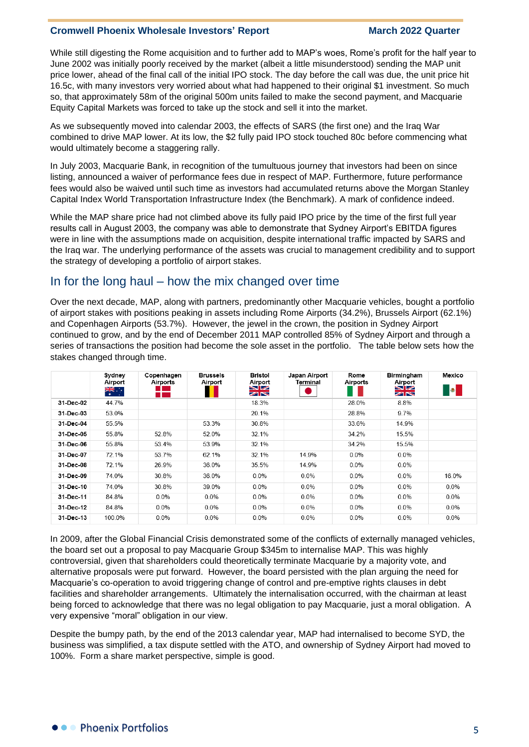While still digesting the Rome acquisition and to further add to MAP's woes, Rome's profit for the half year to June 2002 was initially poorly received by the market (albeit a little misunderstood) sending the MAP unit price lower, ahead of the final call of the initial IPO stock. The day before the call was due, the unit price hit 16.5c, with many investors very worried about what had happened to their original \$1 investment. So much so, that approximately 58m of the original 500m units failed to make the second payment, and Macquarie Equity Capital Markets was forced to take up the stock and sell it into the market.

As we subsequently moved into calendar 2003, the effects of SARS (the first one) and the Iraq War combined to drive MAP lower. At its low, the \$2 fully paid IPO stock touched 80c before commencing what would ultimately become a staggering rally.

In July 2003, Macquarie Bank, in recognition of the tumultuous journey that investors had been on since listing, announced a waiver of performance fees due in respect of MAP. Furthermore, future performance fees would also be waived until such time as investors had accumulated returns above the Morgan Stanley Capital Index World Transportation Infrastructure Index (the Benchmark). A mark of confidence indeed.

While the MAP share price had not climbed above its fully paid IPO price by the time of the first full year results call in August 2003, the company was able to demonstrate that Sydney Airport's EBITDA figures were in line with the assumptions made on acquisition, despite international traffic impacted by SARS and the Iraq war. The underlying performance of the assets was crucial to management credibility and to support the strategy of developing a portfolio of airport stakes.

## In for the long haul – how the mix changed over time

Over the next decade, MAP, along with partners, predominantly other Macquarie vehicles, bought a portfolio of airport stakes with positions peaking in assets including Rome Airports (34.2%), Brussels Airport (62.1%) and Copenhagen Airports (53.7%). However, the jewel in the crown, the position in Sydney Airport continued to grow, and by the end of December 2011 MAP controlled 85% of Sydney Airport and through a series of transactions the position had become the sole asset in the portfolio. The table below sets how the stakes changed through time.

|           | Svdnev<br>Airport<br>्रें | Copenhagen<br>Airports<br>. . | <b>Brussels</b><br>Airport | <b>Bristol</b><br>Airport<br>$\blacksquare$ | Japan Airport<br>Terminal | Rome<br>Airports | Birmingham<br>Airport<br>$\blacksquare$ | Mexico<br><b>B</b> |
|-----------|---------------------------|-------------------------------|----------------------------|---------------------------------------------|---------------------------|------------------|-----------------------------------------|--------------------|
|           |                           | <b>CONTRACTOR</b>             |                            | ZK                                          |                           |                  | ⋝Ѭ                                      |                    |
| 31-Dec-02 | 44.7%                     |                               |                            | 18.3%                                       |                           | 28.0%            | 8.8%                                    |                    |
| 31-Dec-03 | 53.0%                     |                               |                            | 20.1%                                       |                           | 28.8%            | 9.7%                                    |                    |
| 31-Dec-04 | 55.5%                     |                               | 53.3%                      | 30.8%                                       |                           | 33.6%            | 14.9%                                   |                    |
| 31-Dec-05 | 55.8%                     | 52.8%                         | 52.0%                      | 32.1%                                       |                           | 34.2%            | 15.5%                                   |                    |
| 31-Dec-06 | 55.8%                     | 53.4%                         | 53.9%                      | 32.1%                                       |                           | 34.2%            | 15.5%                                   |                    |
| 31-Dec-07 | 72.1%                     | 53.7%                         | 62.1%                      | 32.1%                                       | 14.9%                     | 0.0%             | $0.0\%$                                 |                    |
| 31-Dec-08 | 72.1%                     | 26.9%                         | 36.0%                      | 35.5%                                       | 14.9%                     | 0.0%             | $0.0\%$                                 |                    |
| 31-Dec-09 | 74.0%                     | 30.8%                         | 36.0%                      | 0.0%                                        | 0.0%                      | 0.0%             | $0.0\%$                                 | 16.0%              |
| 31-Dec-10 | 74.0%                     | 30.8%                         | 39.0%                      | 0.0%                                        | 0.0%                      | 0.0%             | $0.0\%$                                 | $0.0\%$            |
| 31-Dec-11 | 84.8%                     | $0.0\%$                       | $0.0\%$                    | $0.0\%$                                     | 0.0%                      | 0.0%             | 0.0%                                    | $0.0\%$            |
| 31-Dec-12 | 84.8%                     | 0.0%                          | $0.0\%$                    | 0.0%                                        | 0.0%                      | 0.0%             | $0.0\%$                                 | $0.0\%$            |
| 31-Dec-13 | 100.0%                    | 0.0%                          | 0.0%                       | 0.0%                                        | 0.0%                      | 0.0%             | 0.0%                                    | $0.0\%$            |

In 2009, after the Global Financial Crisis demonstrated some of the conflicts of externally managed vehicles, the board set out a proposal to pay Macquarie Group \$345m to internalise MAP. This was highly controversial, given that shareholders could theoretically terminate Macquarie by a majority vote, and alternative proposals were put forward. However, the board persisted with the plan arguing the need for Macquarie's co-operation to avoid triggering change of control and pre-emptive rights clauses in debt facilities and shareholder arrangements. Ultimately the internalisation occurred, with the chairman at least being forced to acknowledge that there was no legal obligation to pay Macquarie, just a moral obligation. A very expensive "moral" obligation in our view.

Despite the bumpy path, by the end of the 2013 calendar year, MAP had internalised to become SYD, the business was simplified, a tax dispute settled with the ATO, and ownership of Sydney Airport had moved to 100%. Form a share market perspective, simple is good.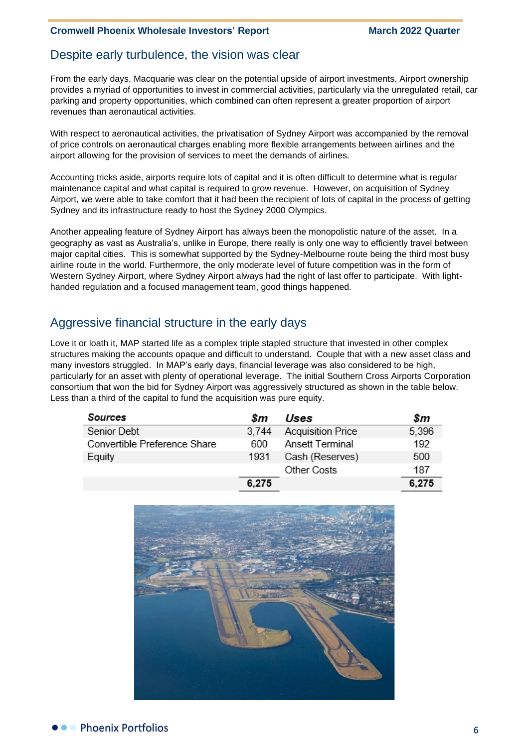## Despite early turbulence, the vision was clear

From the early days, Macquarie was clear on the potential upside of airport investments. Airport ownership provides a myriad of opportunities to invest in commercial activities, particularly via the unregulated retail, car parking and property opportunities, which combined can often represent a greater proportion of airport revenues than aeronautical activities.

With respect to aeronautical activities, the privatisation of Sydney Airport was accompanied by the removal of price controls on aeronautical charges enabling more flexible arrangements between airlines and the airport allowing for the provision of services to meet the demands of airlines.

Accounting tricks aside, airports require lots of capital and it is often difficult to determine what is regular maintenance capital and what capital is required to grow revenue. However, on acquisition of Sydney Airport, we were able to take comfort that it had been the recipient of lots of capital in the process of getting Sydney and its infrastructure ready to host the Sydney 2000 Olympics.

Another appealing feature of Sydney Airport has always been the monopolistic nature of the asset. In a geography as vast as Australia's, unlike in Europe, there really is only one way to efficiently travel between major capital cities. This is somewhat supported by the Sydney-Melbourne route being the third most busy airline route in the world. Furthermore, the only moderate level of future competition was in the form of Western Sydney Airport, where Sydney Airport always had the right of last offer to participate. With lighthanded regulation and a focused management team, good things happened.

## Aggressive financial structure in the early days

Love it or loath it, MAP started life as a complex triple stapled structure that invested in other complex structures making the accounts opaque and difficult to understand. Couple that with a new asset class and many investors struggled. In MAP's early days, financial leverage was also considered to be high, particularly for an asset with plenty of operational leverage. The initial Southern Cross Airports Corporation consortium that won the bid for Sydney Airport was aggressively structured as shown in the table below. Less than a third of the capital to fund the acquisition was pure equity.

| Sources                      | Sm    | Uses                     | \$m   |
|------------------------------|-------|--------------------------|-------|
| Senior Debt                  | 3.744 | <b>Acquisition Price</b> | 5,396 |
| Convertible Preference Share | 600   | Ansett Terminal          | 192   |
| Equity                       | 1931  | Cash (Reserves)          | 500   |
|                              |       | Other Costs              | 187   |
|                              | 6,275 |                          | 6,275 |

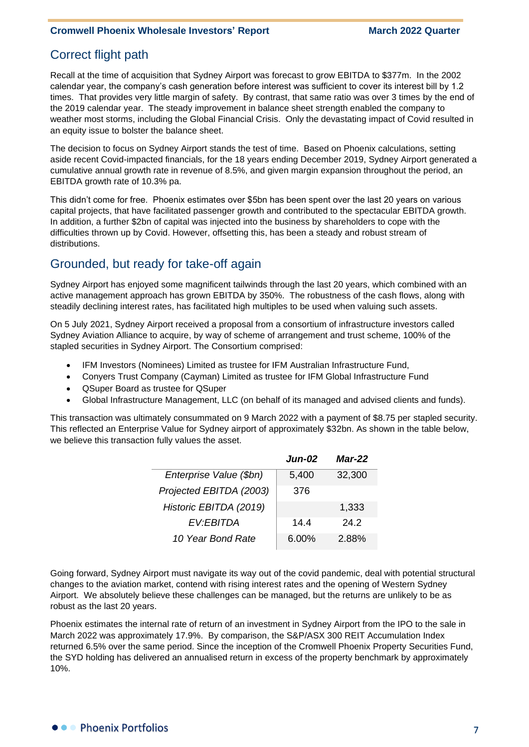## Correct flight path

Recall at the time of acquisition that Sydney Airport was forecast to grow EBITDA to \$377m. In the 2002 calendar year, the company's cash generation before interest was sufficient to cover its interest bill by 1.2 times. That provides very little margin of safety. By contrast, that same ratio was over 3 times by the end of the 2019 calendar year. The steady improvement in balance sheet strength enabled the company to weather most storms, including the Global Financial Crisis. Only the devastating impact of Covid resulted in an equity issue to bolster the balance sheet.

The decision to focus on Sydney Airport stands the test of time. Based on Phoenix calculations, setting aside recent Covid-impacted financials, for the 18 years ending December 2019, Sydney Airport generated a cumulative annual growth rate in revenue of 8.5%, and given margin expansion throughout the period, an EBITDA growth rate of 10.3% pa.

This didn't come for free. Phoenix estimates over \$5bn has been spent over the last 20 years on various capital projects, that have facilitated passenger growth and contributed to the spectacular EBITDA growth. In addition, a further \$2bn of capital was injected into the business by shareholders to cope with the difficulties thrown up by Covid. However, offsetting this, has been a steady and robust stream of distributions.

## Grounded, but ready for take-off again

Sydney Airport has enjoyed some magnificent tailwinds through the last 20 years, which combined with an active management approach has grown EBITDA by 350%. The robustness of the cash flows, along with steadily declining interest rates, has facilitated high multiples to be used when valuing such assets.

On 5 July 2021, Sydney Airport received a proposal from a consortium of infrastructure investors called Sydney Aviation Alliance to acquire, by way of scheme of arrangement and trust scheme, 100% of the stapled securities in Sydney Airport. The Consortium comprised:

- IFM Investors (Nominees) Limited as trustee for IFM Australian Infrastructure Fund,
- Conyers Trust Company (Cayman) Limited as trustee for IFM Global Infrastructure Fund
- QSuper Board as trustee for QSuper
- Global Infrastructure Management, LLC (on behalf of its managed and advised clients and funds).

This transaction was ultimately consummated on 9 March 2022 with a payment of \$8.75 per stapled security. This reflected an Enterprise Value for Sydney airport of approximately \$32bn. As shown in the table below, we believe this transaction fully values the asset.

|                         | <b>Jun-02</b> | <i>Mar-22</i> |
|-------------------------|---------------|---------------|
| Enterprise Value (\$bn) | 5,400         | 32,300        |
| Projected EBITDA (2003) | 376           |               |
| Historic EBITDA (2019)  |               | 1,333         |
| EV:EBITDA               | 14.4          | 24.2          |
| 10 Year Bond Rate       | 6.00%         | 2.88%         |

Going forward, Sydney Airport must navigate its way out of the covid pandemic, deal with potential structural changes to the aviation market, contend with rising interest rates and the opening of Western Sydney Airport. We absolutely believe these challenges can be managed, but the returns are unlikely to be as robust as the last 20 years.

Phoenix estimates the internal rate of return of an investment in Sydney Airport from the IPO to the sale in March 2022 was approximately 17.9%. By comparison, the S&P/ASX 300 REIT Accumulation Index returned 6.5% over the same period. Since the inception of the Cromwell Phoenix Property Securities Fund, the SYD holding has delivered an annualised return in excess of the property benchmark by approximately 10%.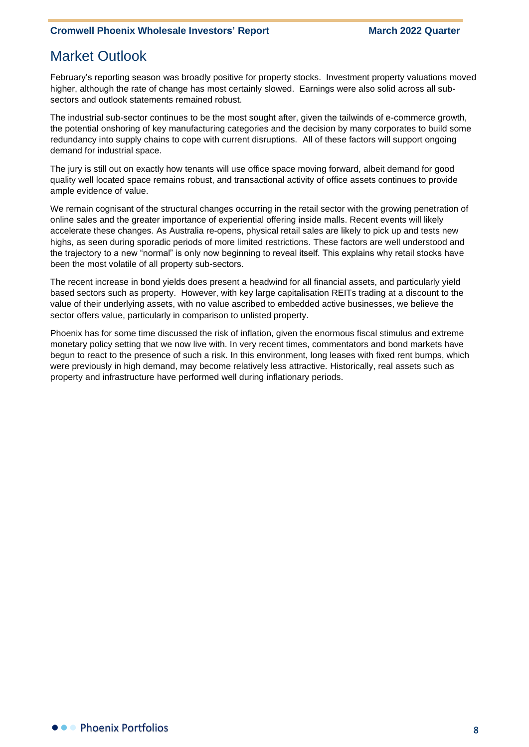# Market Outlook

February's reporting season was broadly positive for property stocks. Investment property valuations moved higher, although the rate of change has most certainly slowed. Earnings were also solid across all subsectors and outlook statements remained robust.

The industrial sub-sector continues to be the most sought after, given the tailwinds of e-commerce growth, the potential onshoring of key manufacturing categories and the decision by many corporates to build some redundancy into supply chains to cope with current disruptions. All of these factors will support ongoing demand for industrial space.

The jury is still out on exactly how tenants will use office space moving forward, albeit demand for good quality well located space remains robust, and transactional activity of office assets continues to provide ample evidence of value.

We remain cognisant of the structural changes occurring in the retail sector with the growing penetration of online sales and the greater importance of experiential offering inside malls. Recent events will likely accelerate these changes. As Australia re-opens, physical retail sales are likely to pick up and tests new highs, as seen during sporadic periods of more limited restrictions. These factors are well understood and the trajectory to a new "normal" is only now beginning to reveal itself. This explains why retail stocks have been the most volatile of all property sub-sectors.

The recent increase in bond yields does present a headwind for all financial assets, and particularly yield based sectors such as property. However, with key large capitalisation REITs trading at a discount to the value of their underlying assets, with no value ascribed to embedded active businesses, we believe the sector offers value, particularly in comparison to unlisted property.

Phoenix has for some time discussed the risk of inflation, given the enormous fiscal stimulus and extreme monetary policy setting that we now live with. In very recent times, commentators and bond markets have begun to react to the presence of such a risk. In this environment, long leases with fixed rent bumps, which were previously in high demand, may become relatively less attractive. Historically, real assets such as property and infrastructure have performed well during inflationary periods.